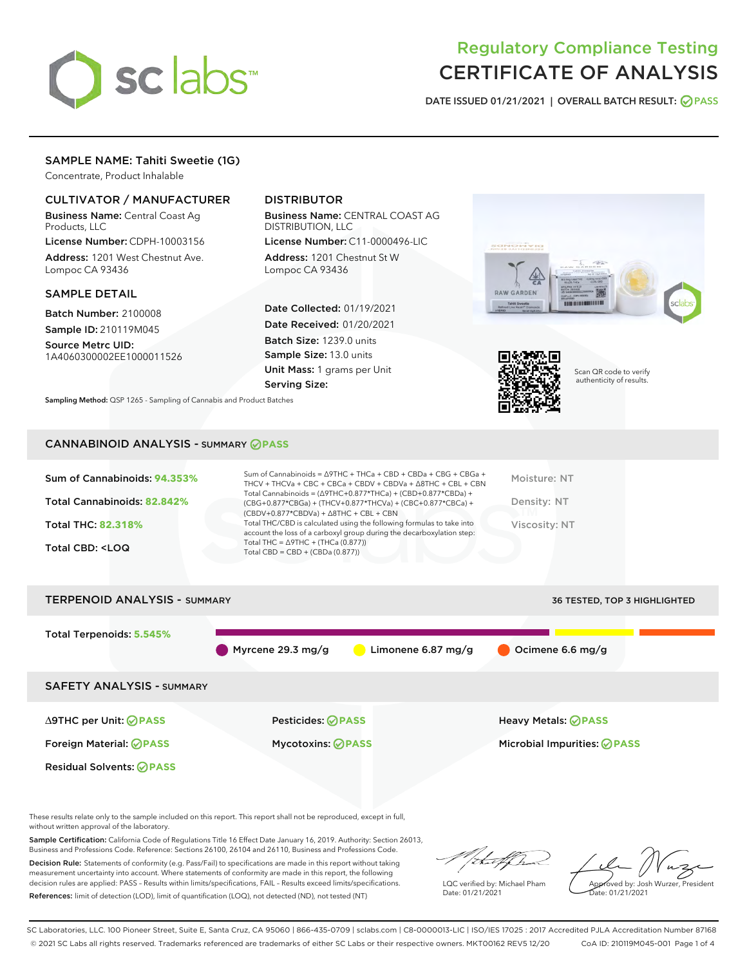

## Regulatory Compliance Testing CERTIFICATE OF ANALYSIS

DATE ISSUED 01/21/2021 | OVERALL BATCH RESULT: @ PASS

## SAMPLE NAME: Tahiti Sweetie (1G)

Concentrate, Product Inhalable

## CULTIVATOR / MANUFACTURER

Business Name: Central Coast Ag Products, LLC

License Number: CDPH-10003156 Address: 1201 West Chestnut Ave. Lompoc CA 93436

#### SAMPLE DETAIL

Batch Number: 2100008 Sample ID: 210119M045

Source Metrc UID: 1A4060300002EE1000011526

## DISTRIBUTOR

Business Name: CENTRAL COAST AG DISTRIBUTION, LLC

License Number: C11-0000496-LIC Address: 1201 Chestnut St W Lompoc CA 93436

Date Collected: 01/19/2021 Date Received: 01/20/2021 Batch Size: 1239.0 units Sample Size: 13.0 units Unit Mass: 1 grams per Unit Serving Size:





Scan QR code to verify authenticity of results.

Sampling Method: QSP 1265 - Sampling of Cannabis and Product Batches

#### CANNABINOID ANALYSIS - SUMMARY **PASS**

| Total Cannabinoids = $(\Delta$ 9THC+0.877*THCa) + (CBD+0.877*CBDa) +<br>Total Cannabinoids: 82.842%<br>Density: NT<br>(CBG+0.877*CBGa) + (THCV+0.877*THCVa) + (CBC+0.877*CBCa) +<br>$(CBDV+0.877*CBDVa) + \Delta 8THC + CBL + CBN$<br>Total THC/CBD is calculated using the following formulas to take into<br><b>Total THC: 82.318%</b><br>Viscosity: NT<br>account the loss of a carboxyl group during the decarboxylation step:<br>Total THC = $\triangle$ 9THC + (THCa (0.877))<br>Total CBD: <loq<br>Total CBD = <math>CBD + (CBDa (0.877))</math></loq<br> | Sum of Cannabinoids: 94.353% | Sum of Cannabinoids = $\triangle$ 9THC + THCa + CBD + CBDa + CBG + CBGa +<br>THCV + THCVa + CBC + CBCa + CBDV + CBDVa + $\Delta$ 8THC + CBL + CBN | Moisture: NT |
|------------------------------------------------------------------------------------------------------------------------------------------------------------------------------------------------------------------------------------------------------------------------------------------------------------------------------------------------------------------------------------------------------------------------------------------------------------------------------------------------------------------------------------------------------------------|------------------------------|---------------------------------------------------------------------------------------------------------------------------------------------------|--------------|
|                                                                                                                                                                                                                                                                                                                                                                                                                                                                                                                                                                  |                              |                                                                                                                                                   |              |
|                                                                                                                                                                                                                                                                                                                                                                                                                                                                                                                                                                  |                              |                                                                                                                                                   |              |
|                                                                                                                                                                                                                                                                                                                                                                                                                                                                                                                                                                  |                              |                                                                                                                                                   |              |

# TERPENOID ANALYSIS - SUMMARY 36 TESTED, TOP 3 HIGHLIGHTED Total Terpenoids: **5.545%** Myrcene 29.3 mg/g CLimonene 6.87 mg/g Coimene 6.6 mg/g SAFETY ANALYSIS - SUMMARY ∆9THC per Unit: **PASS** Pesticides: **PASS** Heavy Metals: **PASS** Foreign Material: **PASS** Mycotoxins: **PASS** Microbial Impurities: **PASS** Residual Solvents: **OPASS**

These results relate only to the sample included on this report. This report shall not be reproduced, except in full, without written approval of the laboratory.

Sample Certification: California Code of Regulations Title 16 Effect Date January 16, 2019. Authority: Section 26013, Business and Professions Code. Reference: Sections 26100, 26104 and 26110, Business and Professions Code.

Decision Rule: Statements of conformity (e.g. Pass/Fail) to specifications are made in this report without taking measurement uncertainty into account. Where statements of conformity are made in this report, the following decision rules are applied: PASS – Results within limits/specifications, FAIL – Results exceed limits/specifications. References: limit of detection (LOD), limit of quantification (LOQ), not detected (ND), not tested (NT)

that f Ir

LQC verified by: Michael Pham Date: 01/21/2021

Approved by: Josh Wurzer, President ate: 01/21/2021

SC Laboratories, LLC. 100 Pioneer Street, Suite E, Santa Cruz, CA 95060 | 866-435-0709 | sclabs.com | C8-0000013-LIC | ISO/IES 17025 : 2017 Accredited PJLA Accreditation Number 87168 © 2021 SC Labs all rights reserved. Trademarks referenced are trademarks of either SC Labs or their respective owners. MKT00162 REV5 12/20 CoA ID: 210119M045-001 Page 1 of 4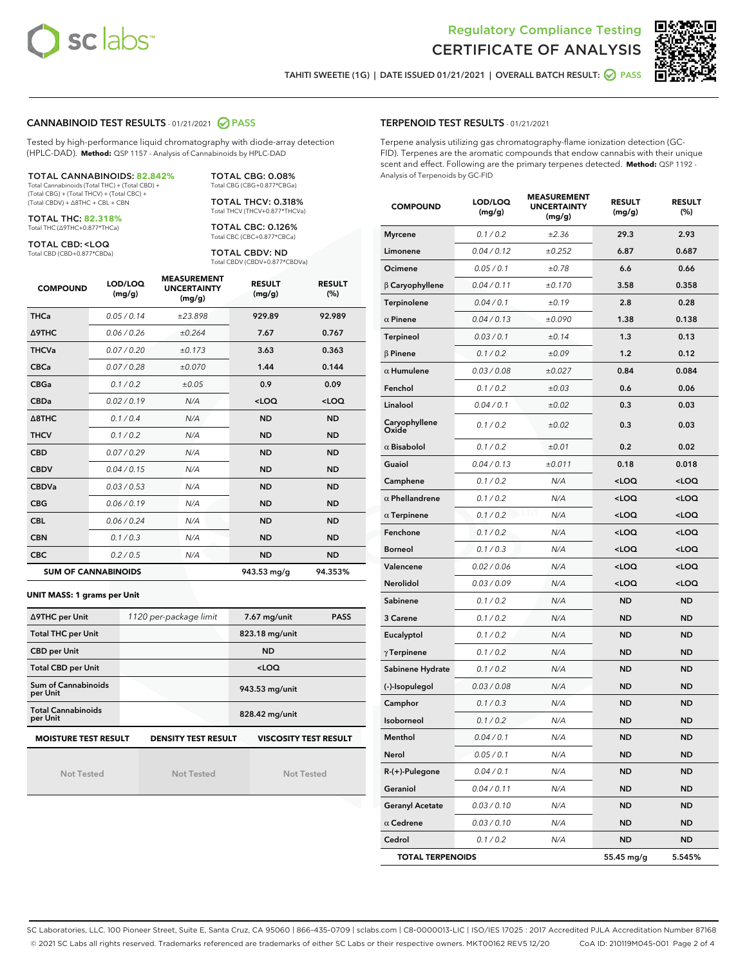



TAHITI SWEETIE (1G) | DATE ISSUED 01/21/2021 | OVERALL BATCH RESULT: @ PASS

#### CANNABINOID TEST RESULTS - 01/21/2021 2 PASS

Tested by high-performance liquid chromatography with diode-array detection (HPLC-DAD). **Method:** QSP 1157 - Analysis of Cannabinoids by HPLC-DAD

TOTAL CANNABINOIDS: **82.842%** Total Cannabinoids (Total THC) + (Total CBD) + (Total CBG) + (Total THCV) + (Total CBC) + (Total CBDV) + ∆8THC + CBL + CBN

TOTAL THC: **82.318%**

Total THC (∆9THC+0.877\*THCa)

TOTAL CBD: <LOQ Total CBD (CBD+0.877\*CBDa) Total CBG (CBG+0.877\*CBGa) TOTAL THCV: 0.318% Total THCV (THCV+0.877\*THCVa)

TOTAL CBG: 0.08%

TOTAL CBC: 0.126% Total CBC (CBC+0.877\*CBCa)

TOTAL CBDV: ND Total CBDV (CBDV+0.877\*CBDVa)

| <b>COMPOUND</b>            | LOD/LOQ<br>(mg/g) | <b>MEASUREMENT</b><br><b>UNCERTAINTY</b><br>(mg/g) | <b>RESULT</b><br>(mg/g) | <b>RESULT</b><br>(%) |
|----------------------------|-------------------|----------------------------------------------------|-------------------------|----------------------|
| <b>THCa</b>                | 0.05/0.14         | ±23.898                                            | 929.89                  | 92.989               |
| <b>A9THC</b>               | 0.06 / 0.26       | ±0.264                                             | 7.67                    | 0.767                |
| <b>THCVa</b>               | 0.07/0.20         | ±0.173                                             | 3.63                    | 0.363                |
| <b>CBCa</b>                | 0.07/0.28         | ±0.070                                             | 1.44                    | 0.144                |
| <b>CBGa</b>                | 0.1/0.2           | ±0.05                                              | 0.9                     | 0.09                 |
| <b>CBDa</b>                | 0.02/0.19         | N/A                                                | $<$ LOQ                 | $<$ LOQ              |
| $\triangle$ 8THC           | 0.1 / 0.4         | N/A                                                | <b>ND</b>               | <b>ND</b>            |
| <b>THCV</b>                | 0.1/0.2           | N/A                                                | <b>ND</b>               | <b>ND</b>            |
| <b>CBD</b>                 | 0.07/0.29         | N/A                                                | <b>ND</b>               | <b>ND</b>            |
| <b>CBDV</b>                | 0.04 / 0.15       | N/A                                                | <b>ND</b>               | <b>ND</b>            |
| <b>CBDVa</b>               | 0.03/0.53         | N/A                                                | <b>ND</b>               | <b>ND</b>            |
| <b>CBG</b>                 | 0.06/0.19         | N/A                                                | <b>ND</b>               | <b>ND</b>            |
| <b>CBL</b>                 | 0.06 / 0.24       | N/A                                                | <b>ND</b>               | <b>ND</b>            |
| <b>CBN</b>                 | 0.1/0.3           | N/A                                                | <b>ND</b>               | <b>ND</b>            |
| <b>CBC</b>                 | 0.2 / 0.5         | N/A                                                | <b>ND</b>               | <b>ND</b>            |
| <b>SUM OF CANNABINOIDS</b> |                   |                                                    | 943.53 mg/g             | 94.353%              |

#### **UNIT MASS: 1 grams per Unit**

| ∆9THC per Unit                                                                            | 1120 per-package limit | 7.67 mg/unit<br><b>PASS</b> |  |  |  |
|-------------------------------------------------------------------------------------------|------------------------|-----------------------------|--|--|--|
| <b>Total THC per Unit</b>                                                                 |                        | 823.18 mg/unit              |  |  |  |
| <b>CBD per Unit</b>                                                                       |                        | <b>ND</b>                   |  |  |  |
| <b>Total CBD per Unit</b>                                                                 |                        | $<$ LOQ                     |  |  |  |
| Sum of Cannabinoids<br>per Unit                                                           |                        | 943.53 mg/unit              |  |  |  |
| <b>Total Cannabinoids</b><br>per Unit                                                     |                        | 828.42 mg/unit              |  |  |  |
| <b>MOISTURE TEST RESULT</b><br><b>VISCOSITY TEST RESULT</b><br><b>DENSITY TEST RESULT</b> |                        |                             |  |  |  |

Not Tested

Not Tested

Not Tested

#### TERPENOID TEST RESULTS - 01/21/2021

Terpene analysis utilizing gas chromatography-flame ionization detection (GC-FID). Terpenes are the aromatic compounds that endow cannabis with their unique scent and effect. Following are the primary terpenes detected. **Method:** QSP 1192 - Analysis of Terpenoids by GC-FID

| <b>COMPOUND</b>         | LOD/LOQ<br>(mg/g) | <b>MEASUREMENT</b><br><b>UNCERTAINTY</b><br>(mq/q) | <b>RESULT</b><br>(mg/g)                         | <b>RESULT</b><br>$(\%)$ |
|-------------------------|-------------------|----------------------------------------------------|-------------------------------------------------|-------------------------|
| <b>Myrcene</b>          | 0.1 / 0.2         | ±2.36                                              | 29.3                                            | 2.93                    |
| Limonene                | 0.04 / 0.12       | ±0.252                                             | 6.87                                            | 0.687                   |
| Ocimene                 | 0.05 / 0.1        | ±0.78                                              | 6.6                                             | 0.66                    |
| $\beta$ Caryophyllene   | 0.04 / 0.11       | ±0.170                                             | 3.58                                            | 0.358                   |
| Terpinolene             | 0.04 / 0.1        | ±0.19                                              | 2.8                                             | 0.28                    |
| $\alpha$ Pinene         | 0.04 / 0.13       | ±0.090                                             | 1.38                                            | 0.138                   |
| Terpineol               | 0.03 / 0.1        | ±0.14                                              | 1.3                                             | 0.13                    |
| $\beta$ Pinene          | 0.1 / 0.2         | ±0.09                                              | 1.2                                             | 0.12                    |
| $\alpha$ Humulene       | 0.03 / 0.08       | ±0.027                                             | 0.84                                            | 0.084                   |
| Fenchol                 | 0.1 / 0.2         | ±0.03                                              | 0.6                                             | 0.06                    |
| Linalool                | 0.04 / 0.1        | ±0.02                                              | 0.3                                             | 0.03                    |
| Caryophyllene<br>Oxide  | 0.1 / 0.2         | ±0.02                                              | 0.3                                             | 0.03                    |
| $\alpha$ Bisabolol      | 0.1 / 0.2         | ±0.01                                              | 0.2                                             | 0.02                    |
| Guaiol                  | 0.04 / 0.13       | ±0.011                                             | 0.18                                            | 0.018                   |
| Camphene                | 0.1 / 0.2         | N/A                                                | $<$ LOQ                                         | <loq< td=""></loq<>     |
| $\alpha$ Phellandrene   | 0.1 / 0.2         | N/A                                                | <loq< th=""><th><loq< th=""></loq<></th></loq<> | <loq< th=""></loq<>     |
| $\alpha$ Terpinene      | 0.1 / 0.2         | N/A                                                | $<$ LOQ                                         | <loq< th=""></loq<>     |
| Fenchone                | 0.1 / 0.2         | N/A                                                | 100                                             | <loq< th=""></loq<>     |
| <b>Borneol</b>          | 0.1 / 0.3         | N/A                                                | <loq< td=""><td><loq< td=""></loq<></td></loq<> | <loq< td=""></loq<>     |
| Valencene               | 0.02 / 0.06       | N/A                                                | <loq< td=""><td><loq< td=""></loq<></td></loq<> | <loq< td=""></loq<>     |
| Nerolidol               | 0.03 / 0.09       | N/A                                                | $<$ LOQ                                         | $<$ LOQ                 |
| Sabinene                | 0.1 / 0.2         | N/A                                                | ND                                              | ND                      |
| 3 Carene                | 0.1 / 0.2         | N/A                                                | <b>ND</b>                                       | <b>ND</b>               |
| Eucalyptol              | 0.1 / 0.2         | N/A                                                | ND                                              | <b>ND</b>               |
| $\gamma$ Terpinene      | 0.1 / 0.2         | N/A                                                | ND                                              | ND                      |
| Sabinene Hydrate        | 0.1 / 0.2         | N/A                                                | <b>ND</b>                                       | <b>ND</b>               |
| (-)-Isopulegol          | 0.03 / 0.08       | N/A                                                | ND                                              | <b>ND</b>               |
| Camphor                 | 0.1 / 0.3         | N/A                                                | ND                                              | <b>ND</b>               |
| Isoborneol              | 0.1 / 0.2         | N/A                                                | <b>ND</b>                                       | <b>ND</b>               |
| Menthol                 | 0.04 / 0.1        | N/A                                                | <b>ND</b>                                       | <b>ND</b>               |
| Nerol                   | 0.05 / 0.1        | N/A                                                | ND                                              | ND                      |
| R-(+)-Pulegone          | 0.04 / 0.1        | N/A                                                | <b>ND</b>                                       | <b>ND</b>               |
| Geraniol                | 0.04 / 0.11       | N/A                                                | ND                                              | ND                      |
| <b>Geranyl Acetate</b>  | 0.03 / 0.10       | N/A                                                | ND                                              | ND                      |
| $\alpha$ Cedrene        | 0.03 / 0.10       | N/A                                                | <b>ND</b>                                       | ND                      |
| Cedrol                  | 0.1 / 0.2         | N/A                                                | <b>ND</b>                                       | ND                      |
| <b>TOTAL TERPENOIDS</b> |                   |                                                    | 55.45 mg/g                                      | 5.545%                  |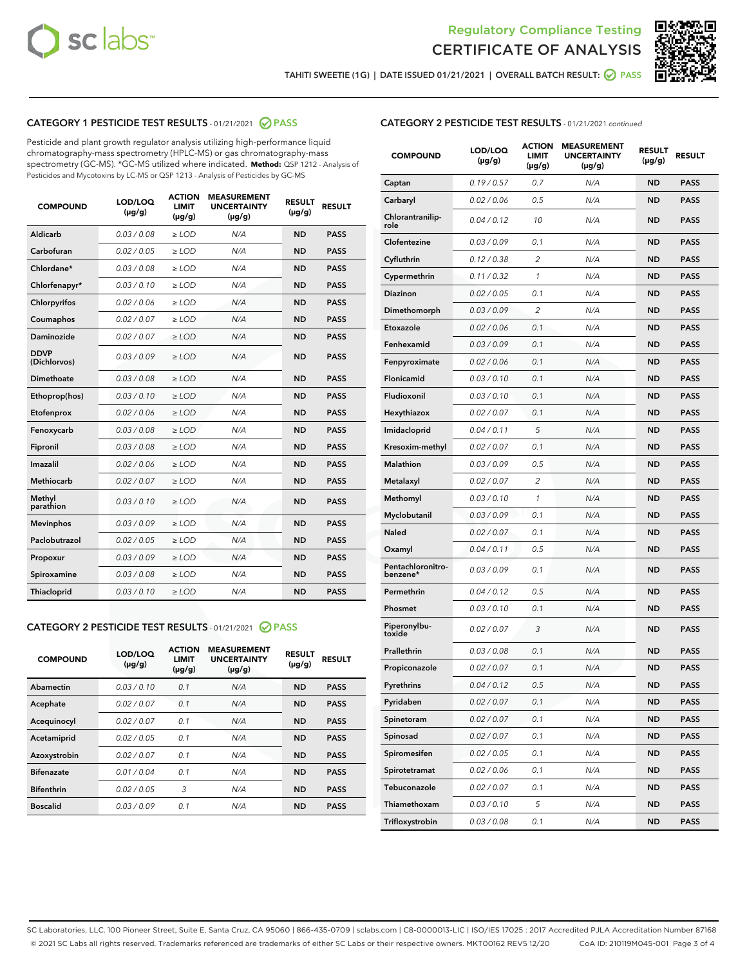



TAHITI SWEETIE (1G) | DATE ISSUED 01/21/2021 | OVERALL BATCH RESULT: @ PASS

## CATEGORY 1 PESTICIDE TEST RESULTS - 01/21/2021 2 PASS

Pesticide and plant growth regulator analysis utilizing high-performance liquid chromatography-mass spectrometry (HPLC-MS) or gas chromatography-mass spectrometry (GC-MS). \*GC-MS utilized where indicated. **Method:** QSP 1212 - Analysis of Pesticides and Mycotoxins by LC-MS or QSP 1213 - Analysis of Pesticides by GC-MS

| <b>COMPOUND</b>             | LOD/LOQ<br>$(\mu g/g)$ | <b>ACTION</b><br><b>LIMIT</b><br>$(\mu g/g)$ | <b>MEASUREMENT</b><br><b>UNCERTAINTY</b><br>$(\mu g/g)$ | <b>RESULT</b><br>$(\mu g/g)$ | <b>RESULT</b> |
|-----------------------------|------------------------|----------------------------------------------|---------------------------------------------------------|------------------------------|---------------|
| Aldicarb                    | 0.03 / 0.08            | $\ge$ LOD                                    | N/A                                                     | <b>ND</b>                    | <b>PASS</b>   |
| Carbofuran                  | 0.02 / 0.05            | $\ge$ LOD                                    | N/A                                                     | <b>ND</b>                    | <b>PASS</b>   |
| Chlordane*                  | 0.03 / 0.08            | $\ge$ LOD                                    | N/A                                                     | <b>ND</b>                    | <b>PASS</b>   |
| Chlorfenapyr*               | 0.03/0.10              | $\ge$ LOD                                    | N/A                                                     | <b>ND</b>                    | <b>PASS</b>   |
| Chlorpyrifos                | 0.02 / 0.06            | $\ge$ LOD                                    | N/A                                                     | <b>ND</b>                    | <b>PASS</b>   |
| Coumaphos                   | 0.02 / 0.07            | $\ge$ LOD                                    | N/A                                                     | <b>ND</b>                    | <b>PASS</b>   |
| Daminozide                  | 0.02/0.07              | $\ge$ LOD                                    | N/A                                                     | <b>ND</b>                    | <b>PASS</b>   |
| <b>DDVP</b><br>(Dichlorvos) | 0.03/0.09              | $>$ LOD                                      | N/A                                                     | <b>ND</b>                    | <b>PASS</b>   |
| Dimethoate                  | 0.03 / 0.08            | $\ge$ LOD                                    | N/A                                                     | <b>ND</b>                    | <b>PASS</b>   |
| Ethoprop(hos)               | 0.03/0.10              | $>$ LOD                                      | N/A                                                     | <b>ND</b>                    | <b>PASS</b>   |
| Etofenprox                  | 0.02 / 0.06            | $\ge$ LOD                                    | N/A                                                     | <b>ND</b>                    | <b>PASS</b>   |
| Fenoxycarb                  | 0.03 / 0.08            | $\ge$ LOD                                    | N/A                                                     | <b>ND</b>                    | <b>PASS</b>   |
| Fipronil                    | 0.03/0.08              | $>$ LOD                                      | N/A                                                     | <b>ND</b>                    | <b>PASS</b>   |
| Imazalil                    | 0.02 / 0.06            | $\ge$ LOD                                    | N/A                                                     | <b>ND</b>                    | <b>PASS</b>   |
| Methiocarb                  | 0.02 / 0.07            | $\ge$ LOD                                    | N/A                                                     | <b>ND</b>                    | <b>PASS</b>   |
| Methyl<br>parathion         | 0.03/0.10              | $\ge$ LOD                                    | N/A                                                     | <b>ND</b>                    | <b>PASS</b>   |
| <b>Mevinphos</b>            | 0.03/0.09              | $\ge$ LOD                                    | N/A                                                     | <b>ND</b>                    | <b>PASS</b>   |
| Paclobutrazol               | 0.02 / 0.05            | $\ge$ LOD                                    | N/A                                                     | <b>ND</b>                    | <b>PASS</b>   |
| Propoxur                    | 0.03/0.09              | $\ge$ LOD                                    | N/A                                                     | <b>ND</b>                    | <b>PASS</b>   |
| Spiroxamine                 | 0.03 / 0.08            | $\ge$ LOD                                    | N/A                                                     | <b>ND</b>                    | <b>PASS</b>   |
| Thiacloprid                 | 0.03/0.10              | $\ge$ LOD                                    | N/A                                                     | <b>ND</b>                    | <b>PASS</b>   |

### CATEGORY 2 PESTICIDE TEST RESULTS - 01/21/2021 @ PASS

| Abamectin<br>0.03/0.10<br>0.1<br><b>ND</b><br>N/A<br><b>PASS</b><br>0.02/0.07<br>0.1<br>N/A<br><b>ND</b><br><b>PASS</b><br>Acephate |
|-------------------------------------------------------------------------------------------------------------------------------------|
|                                                                                                                                     |
|                                                                                                                                     |
| 0.02/0.07<br>0.1<br>N/A<br><b>ND</b><br><b>PASS</b><br>Acequinocyl                                                                  |
| 0.02/0.05<br>0.1<br>N/A<br><b>ND</b><br><b>PASS</b><br>Acetamiprid                                                                  |
| 0.02/0.07<br>Azoxystrobin<br>0.1<br>N/A<br><b>ND</b><br><b>PASS</b>                                                                 |
| 0.01/0.04<br><b>ND</b><br><b>Bifenazate</b><br>0.1<br>N/A<br><b>PASS</b>                                                            |
| <b>Bifenthrin</b><br>3<br>0.02/0.05<br>N/A<br><b>ND</b><br><b>PASS</b>                                                              |
| <b>Boscalid</b><br>0.03/0.09<br>0.1<br>N/A<br><b>ND</b><br><b>PASS</b>                                                              |

|  | <b>CATEGORY 2 PESTICIDE TEST RESULTS</b> - 01/21/2021 continued |  |  |
|--|-----------------------------------------------------------------|--|--|
|--|-----------------------------------------------------------------|--|--|

| <b>COMPOUND</b>               | LOD/LOQ<br>(µg/g) | <b>ACTION</b><br>LIMIT<br>$(\mu g/g)$ | <b>MEASUREMENT</b><br><b>UNCERTAINTY</b><br>$(\mu g/g)$ | <b>RESULT</b><br>(µg/g) | <b>RESULT</b> |
|-------------------------------|-------------------|---------------------------------------|---------------------------------------------------------|-------------------------|---------------|
| Captan                        | 0.19/0.57         | 0.7                                   | N/A                                                     | <b>ND</b>               | <b>PASS</b>   |
| Carbaryl                      | 0.02 / 0.06       | 0.5                                   | N/A                                                     | <b>ND</b>               | <b>PASS</b>   |
| Chlorantranilip-<br>role      | 0.04 / 0.12       | 10                                    | N/A                                                     | <b>ND</b>               | <b>PASS</b>   |
| Clofentezine                  | 0.03 / 0.09       | 0.1                                   | N/A                                                     | <b>ND</b>               | <b>PASS</b>   |
| Cyfluthrin                    | 0.12 / 0.38       | $\overline{2}$                        | N/A                                                     | <b>ND</b>               | <b>PASS</b>   |
| Cypermethrin                  | 0.11 / 0.32       | 1                                     | N/A                                                     | <b>ND</b>               | <b>PASS</b>   |
| <b>Diazinon</b>               | 0.02 / 0.05       | 0.1                                   | N/A                                                     | <b>ND</b>               | <b>PASS</b>   |
| Dimethomorph                  | 0.03 / 0.09       | 2                                     | N/A                                                     | <b>ND</b>               | <b>PASS</b>   |
| Etoxazole                     | 0.02 / 0.06       | 0.1                                   | N/A                                                     | <b>ND</b>               | <b>PASS</b>   |
| Fenhexamid                    | 0.03 / 0.09       | 0.1                                   | N/A                                                     | <b>ND</b>               | <b>PASS</b>   |
| Fenpyroximate                 | 0.02 / 0.06       | 0.1                                   | N/A                                                     | <b>ND</b>               | <b>PASS</b>   |
| Flonicamid                    | 0.03 / 0.10       | 0.1                                   | N/A                                                     | <b>ND</b>               | <b>PASS</b>   |
| Fludioxonil                   | 0.03 / 0.10       | 0.1                                   | N/A                                                     | <b>ND</b>               | <b>PASS</b>   |
| Hexythiazox                   | 0.02 / 0.07       | 0.1                                   | N/A                                                     | <b>ND</b>               | <b>PASS</b>   |
| Imidacloprid                  | 0.04 / 0.11       | 5                                     | N/A                                                     | <b>ND</b>               | <b>PASS</b>   |
| Kresoxim-methyl               | 0.02 / 0.07       | 0.1                                   | N/A                                                     | <b>ND</b>               | <b>PASS</b>   |
| Malathion                     | 0.03 / 0.09       | 0.5                                   | N/A                                                     | <b>ND</b>               | <b>PASS</b>   |
| Metalaxyl                     | 0.02 / 0.07       | 2                                     | N/A                                                     | <b>ND</b>               | <b>PASS</b>   |
| Methomyl                      | 0.03 / 0.10       | 1                                     | N/A                                                     | <b>ND</b>               | <b>PASS</b>   |
| Myclobutanil                  | 0.03 / 0.09       | 0.1                                   | N/A                                                     | <b>ND</b>               | <b>PASS</b>   |
| Naled                         | 0.02 / 0.07       | 0.1                                   | N/A                                                     | <b>ND</b>               | <b>PASS</b>   |
| Oxamyl                        | 0.04 / 0.11       | 0.5                                   | N/A                                                     | <b>ND</b>               | <b>PASS</b>   |
| Pentachloronitro-<br>benzene* | 0.03 / 0.09       | 0.1                                   | N/A                                                     | <b>ND</b>               | <b>PASS</b>   |
| Permethrin                    | 0.04 / 0.12       | 0.5                                   | N/A                                                     | <b>ND</b>               | <b>PASS</b>   |
| Phosmet                       | 0.03/0.10         | 0.1                                   | N/A                                                     | <b>ND</b>               | <b>PASS</b>   |
| Piperonylbu-<br>toxide        | 0.02 / 0.07       | 3                                     | N/A                                                     | <b>ND</b>               | <b>PASS</b>   |
| Prallethrin                   | 0.03 / 0.08       | 0.1                                   | N/A                                                     | <b>ND</b>               | <b>PASS</b>   |
| Propiconazole                 | 0.02 / 0.07       | 0.1                                   | N/A                                                     | <b>ND</b>               | <b>PASS</b>   |
| Pyrethrins                    | 0.04 / 0.12       | 0.5                                   | N/A                                                     | ND                      | PASS          |
| Pyridaben                     | 0.02 / 0.07       | 0.1                                   | N/A                                                     | <b>ND</b>               | <b>PASS</b>   |
| Spinetoram                    | 0.02 / 0.07       | 0.1                                   | N/A                                                     | <b>ND</b>               | <b>PASS</b>   |
| Spinosad                      | 0.02 / 0.07       | 0.1                                   | N/A                                                     | <b>ND</b>               | <b>PASS</b>   |
| Spiromesifen                  | 0.02 / 0.05       | 0.1                                   | N/A                                                     | <b>ND</b>               | <b>PASS</b>   |
| Spirotetramat                 | 0.02 / 0.06       | 0.1                                   | N/A                                                     | <b>ND</b>               | <b>PASS</b>   |
| Tebuconazole                  | 0.02 / 0.07       | 0.1                                   | N/A                                                     | <b>ND</b>               | <b>PASS</b>   |
| Thiamethoxam                  | 0.03 / 0.10       | 5                                     | N/A                                                     | <b>ND</b>               | <b>PASS</b>   |
| Trifloxystrobin               | 0.03 / 0.08       | 0.1                                   | N/A                                                     | <b>ND</b>               | <b>PASS</b>   |

SC Laboratories, LLC. 100 Pioneer Street, Suite E, Santa Cruz, CA 95060 | 866-435-0709 | sclabs.com | C8-0000013-LIC | ISO/IES 17025 : 2017 Accredited PJLA Accreditation Number 87168 © 2021 SC Labs all rights reserved. Trademarks referenced are trademarks of either SC Labs or their respective owners. MKT00162 REV5 12/20 CoA ID: 210119M045-001 Page 3 of 4